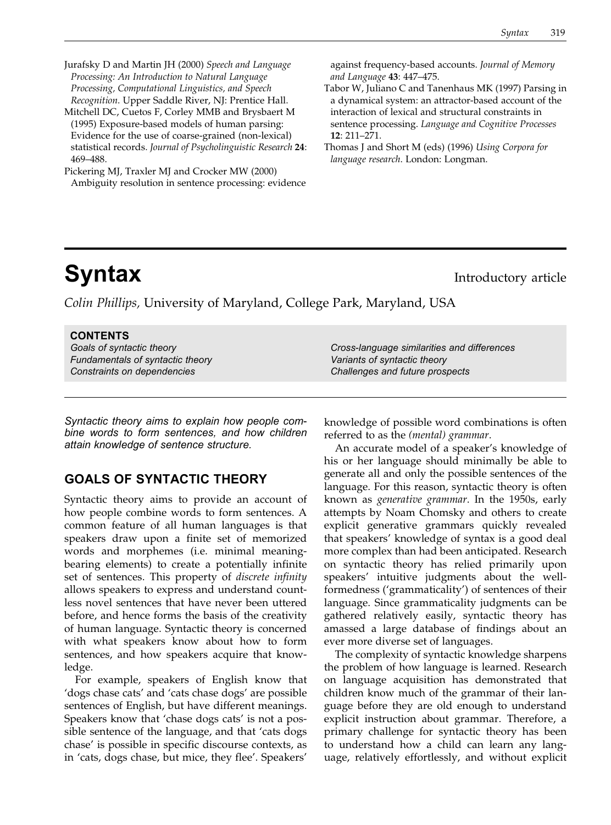- Jurafsky D and Martin JH (2000) Speech and Language Processing: An Introduction to Natural Language Processing, Computational Linguistics, and Speech Recognition. Upper Saddle River, NJ: Prentice Hall.
- Mitchell DC, Cuetos F, Corley MMB and Brysbaert M (1995) Exposure-based models of human parsing: Evidence for the use of coarse-grained (non-lexical) statistical records. Journal of Psycholinguistic Research 24: 469-488.
- Pickering MJ, Traxler MJ and Crocker MW (2000) Ambiguity resolution in sentence processing: evidence

against frequency-based accounts. Journal of Memory and Language 43: 447-475.

- Tabor W, Juliano C and Tanenhaus MK (1997) Parsing in a dynamical system: an attractor-based account of the interaction of lexical and structural constraints in sentence processing. Language and Cognitive Processes  $12: 211 - 271.$
- Thomas J and Short M (eds) (1996) Using Corpora for language research. London: Longman.

# **Syntax**

Introductory article

*Colin Phillips,* University of Maryland, College Park, Maryland, USA

# **CONTENTS**

Goals of syntactic theory Fundamentals of syntactic theory Constraints on dependencies

Syntactic theory aims to explain how people combine words to form sentences, and how children attain knowledge of sentence structure.

# **GOALS OF SYNTACTIC THEORY**

Syntactic theory aims to provide an account of how people combine words to form sentences. A common feature of all human languages is that speakers draw upon a finite set of memorized words and morphemes (i.e. minimal meaningbearing elements) to create a potentially infinite set of sentences. This property of *discrete infinity* allows speakers to express and understand countless novel sentences that have never been uttered before, and hence forms the basis of the creativity of human language. Syntactic theory is concerned with what speakers know about how to form sentences, and how speakers acquire that knowledge.

For example, speakers of English know that 'dogs chase cats' and 'cats chase dogs' are possible sentences of English, but have different meanings. Speakers know that 'chase dogs cats' is not a possible sentence of the language, and that 'cats dogs chase' is possible in specific discourse contexts, as in 'cats, dogs chase, but mice, they flee'. Speakers'

Cross-language similarities and differences Variants of syntactic theory Challenges and future prospects

knowledge of possible word combinations is often referred to as the (mental) grammar.

An accurate model of a speaker's knowledge of his or her language should minimally be able to generate all and only the possible sentences of the language. For this reason, syntactic theory is often known as *generative grammar*. In the 1950s, early attempts by Noam Chomsky and others to create explicit generative grammars quickly revealed that speakers' knowledge of syntax is a good deal more complex than had been anticipated. Research on syntactic theory has relied primarily upon speakers' intuitive judgments about the wellformedness ('grammaticality') of sentences of their language. Since grammaticality judgments can be gathered relatively easily, syntactic theory has amassed a large database of findings about an ever more diverse set of languages.

The complexity of syntactic knowledge sharpens the problem of how language is learned. Research on language acquisition has demonstrated that children know much of the grammar of their language before they are old enough to understand explicit instruction about grammar. Therefore, a primary challenge for syntactic theory has been to understand how a child can learn any language, relatively effortlessly, and without explicit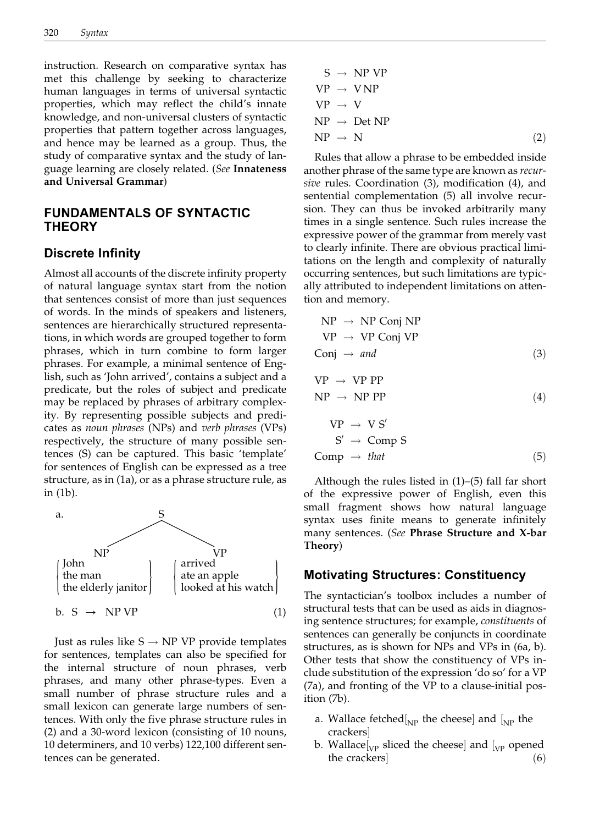instruction. Research on comparative syntax has met this challenge by seeking to characterize human languages in terms of universal syntactic properties, which may reflect the child's innate knowledge, and non-universal clusters of syntactic properties that pattern together across languages, and hence may be learned as a group. Thus, the study of comparative syntax and the study of language learning are closely related. (See Innateness and Universal Grammar)

# **FUNDAMENTALS OF SYNTACTIC THEORY**

#### **Discrete Infinity**

Almost all accounts of the discrete infinity property of natural language syntax start from the notion that sentences consist of more than just sequences of words. In the minds of speakers and listeners, sentences are hierarchically structured representations, in which words are grouped together to form phrases, which in turn combine to form larger phrases. For example, a minimal sentence of English, such as 'John arrived', contains a subject and a predicate, but the roles of subject and predicate may be replaced by phrases of arbitrary complexity. By representing possible subjects and predicates as *noun phrases* (NPs) and *verb phrases* (VPs) respectively, the structure of many possible sentences (S) can be captured. This basic 'template' for sentences of English can be expressed as a tree structure, as in (1a), or as a phrase structure rule, as in  $(1b)$ .



Just as rules like  $S \rightarrow NP VP$  provide templates for sentences, templates can also be specified for the internal structure of noun phrases, verb phrases, and many other phrase-types. Even a small number of phrase structure rules and a small lexicon can generate large numbers of sentences. With only the five phrase structure rules in (2) and a 30-word lexicon (consisting of 10 nouns, 10 determiners, and 10 verbs) 122,100 different sentences can be generated.

$$
S \rightarrow NP VP
$$
  
VP \rightarrow VNP  
VP \rightarrow V  
NP \rightarrow Det NP  
NP \rightarrow Net NP  
NP \rightarrow N (2)

Rules that allow a phrase to be embedded inside another phrase of the same type are known as recursive rules. Coordination (3), modification (4), and sentential complementation (5) all involve recursion. They can thus be invoked arbitrarily many times in a single sentence. Such rules increase the expressive power of the grammar from merely vast to clearly infinite. There are obvious practical limitations on the length and complexity of naturally occurring sentences, but such limitations are typically attributed to independent limitations on attention and memory.

$$
NP \rightarrow NP Conj NP
$$
  
VP \rightarrow VP Conj VP  
Conj \rightarrow and (3)

$$
VP \rightarrow VP PP
$$
  
NP \rightarrow NP PP (4)

$$
VP \rightarrow VS'
$$
  
\n
$$
S' \rightarrow Comp S
$$
  
\nComp \rightarrow that (5)

Although the rules listed in  $(1)$ – $(5)$  fall far short of the expressive power of English, even this small fragment shows how natural language syntax uses finite means to generate infinitely many sentences. (See Phrase Structure and X-bar Theory)

#### **Motivating Structures: Constituency**

The syntactician's toolbox includes a number of structural tests that can be used as aids in diagnosing sentence structures; for example, constituents of sentences can generally be conjuncts in coordinate structures, as is shown for NPs and VPs in (6a, b). Other tests that show the constituency of VPs include substitution of the expression 'do so' for a VP (7a), and fronting of the VP to a clause-initial position  $(7b)$ .

- a. Wallace fetched  $_{NP}$  the cheese and  $_{NP}$  the crackers
- b. Wallace  $\vert_{VP}$  sliced the cheese and  $\vert_{VP}$  opened the crackers  $(6)$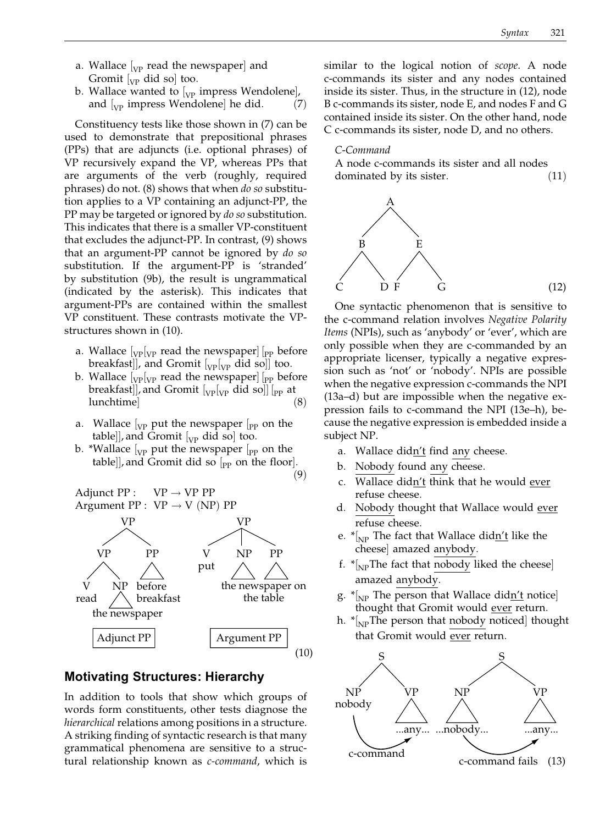- a. Wallace  $\left[\begin{smallmatrix} 1 & 0 \\ 0 & 0 \end{smallmatrix}\right]$  and Gromit  $\left[\begin{smallmatrix} 1 \\ V \end{smallmatrix}\right]$  did so too.
- b. Wallace wanted to  $\vert_{VP}$  impress Wendolene], and  $\left[\begin{smallmatrix} 1 \\ V \end{smallmatrix}\right]$  impress Wendolene] he did.  $(7)$

Constituency tests like those shown in (7) can be used to demonstrate that prepositional phrases (PPs) that are adjuncts (i.e. optional phrases) of VP recursively expand the VP, whereas PPs that are arguments of the verb (roughly, required phrases) do not. (8) shows that when *do so* substitution applies to a VP containing an adjunct-PP, the PP may be targeted or ignored by *do so* substitution. This indicates that there is a smaller VP-constituent that excludes the adjunct-PP. In contrast, (9) shows that an argument-PP cannot be ignored by do so substitution. If the argument-PP is 'stranded' by substitution (9b), the result is ungrammatical (indicated by the asterisk). This indicates that argument-PPs are contained within the smallest VP constituent. These contrasts motivate the VPstructures shown in (10).

- a. Wallace  $\left[\begin{smallmatrix}V_P\end{smallmatrix}\right]_{VP}$  read the newspaper]  $\left[\begin{smallmatrix}P_P\end{smallmatrix}\right]$  before breakfast]], and Gromit  $\left[\begin{smallmatrix} v_P \end{smallmatrix}\right]$  and  $\left[\begin{smallmatrix} v_P \end{smallmatrix}\right]$  and  $\left[\begin{smallmatrix} v_P \end{smallmatrix}\right]$  and  $\left[\begin{smallmatrix} v_P \end{smallmatrix}\right]$  and  $\left[\begin{smallmatrix} v_P \end{smallmatrix}\right]$  and  $\left[\begin{smallmatrix} v_P \end{smallmatrix}\right]$  and  $\left[\begin{smallmatrix} v_P \end{smallmatrix}\right]$  and  $\left[\begin{smallmatrix} v_P \end{smallmatrix}\right]$  a
- b. Wallace  $\left[\text{VP}| \text{VP}\right]$  read the newspaper]  $\left[\text{PP}\right]$  before breakfast]], and Gromit  $\left[\begin{smallmatrix}V_P\\V_P\end{smallmatrix}\right]$  did so]]  $\left[\begin{smallmatrix}P_P\end{smallmatrix}\right]$  at lunchtime  $(8)$
- a. Wallace  $\begin{bmatrix} 1 & p \end{bmatrix}$  put the newspaper  $\begin{bmatrix} 1 & p \end{bmatrix}$  on the table]], and Gromit  $\begin{bmatrix} 0 & \text{if } \\ 0 & \text{if } \text{if } \\ 0 & \text{if } \text{if } \text{if } \\ 0 & \text{if } \text{if } \\ 0 & \text{if } \text{if } \\ 0 & \text{if } \text{if } \\ 0 & \text{if } \text{if } \\ 0 & \text{if } \text{if } \\ 0 & \text{if } \text{if } \\ 0 & \text{if } \text{if } \\ 0 & \text{if } \text{if } \\ 0 & \text{if } \text{if } \\ 0 & \text{if } \text{if } \\ 0 & \text{if } \text{if$
- b. \*Wallace  $\begin{bmatrix} 1 \end{bmatrix}$  put the newspaper  $\begin{bmatrix} 1 \end{bmatrix}$  on the table]], and Gromit did so  $_{\rm [pp]}$  on the floor].

 $(9)$ 

Adjunct PP:  $VP \rightarrow VP PP$ Argument PP :  $VP \rightarrow V(NP) PP$ 



#### **Motivating Structures: Hierarchy**

In addition to tools that show which groups of words form constituents, other tests diagnose the *hierarchical* relations among positions in a structure. A striking finding of syntactic research is that many grammatical phenomena are sensitive to a structural relationship known as c-command, which is similar to the logical notion of *scope*. A node c-commands its sister and any nodes contained inside its sister. Thus, in the structure in (12), node B c-commands its sister, node E, and nodes F and G contained inside its sister. On the other hand, node C c-commands its sister, node D, and no others.

#### C-Command

A node c-commands its sister and all nodes dominated by its sister.  $(11)$ 



One syntactic phenomenon that is sensitive to the c-command relation involves Negative Polarity Items (NPIs), such as 'anybody' or 'ever', which are only possible when they are c-commanded by an appropriate licenser, typically a negative expression such as 'not' or 'nobody'. NPIs are possible when the negative expression c-commands the NPI (13a-d) but are impossible when the negative expression fails to c-command the NPI (13e-h), because the negative expression is embedded inside a subject NP.

- a. Wallace didn't find any cheese.
- b. Nobody found any cheese.
- c. Wallace didn't think that he would ever refuse cheese.
- d. Nobody thought that Wallace would ever refuse cheese.
- e.  $\binom{1}{N}$  The fact that Wallace didn't like the cheese] amazed anybody.
- f.  $*_{N}F$ The fact that nobody liked the cheese] amazed anybody.
- g. \* <sub>NP</sub> The person that Wallace didn't notice thought that Gromit would ever return.
- h.  $\binom{*}{NP}$ The person that nobody noticed thought that Gromit would ever return.

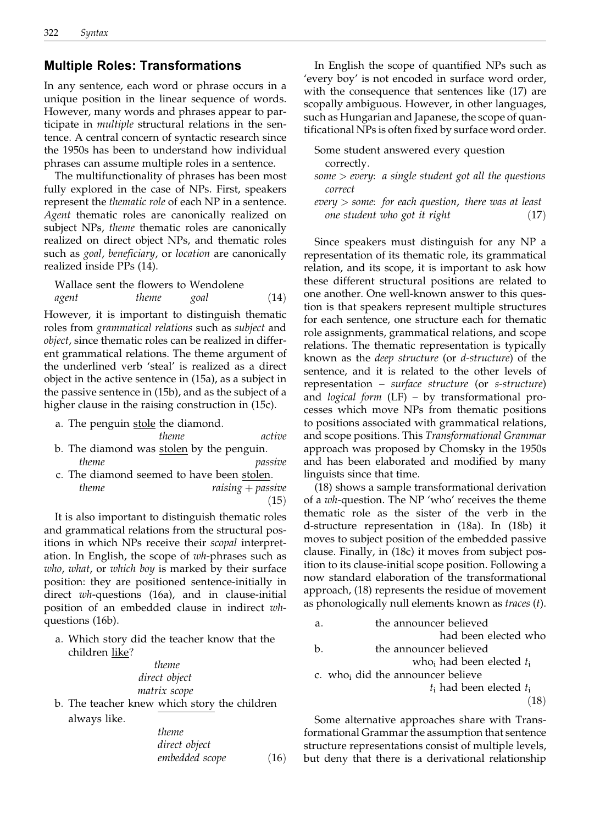#### **Multiple Roles: Transformations**

In any sentence, each word or phrase occurs in a unique position in the linear sequence of words. However, many words and phrases appear to participate in *multiple* structural relations in the sentence. A central concern of syntactic research since the 1950s has been to understand how individual phrases can assume multiple roles in a sentence.

The multifunctionality of phrases has been most fully explored in the case of NPs. First, speakers represent the thematic role of each NP in a sentence. Agent thematic roles are canonically realized on subject NPs, theme thematic roles are canonically realized on direct object NPs, and thematic roles such as *goal*, *beneficiary*, or *location* are canonically realized inside PPs (14).

However, it is important to distinguish thematic roles from grammatical relations such as subject and *object*, since thematic roles can be realized in different grammatical relations. The theme argument of the underlined verb 'steal' is realized as a direct object in the active sentence in (15a), as a subject in the passive sentence in (15b), and as the subject of a higher clause in the raising construction in (15c).

a. The penguin stole the diamond.

b. The diamond was stolen by the penguin. passive theme

active

c. The diamond seemed to have been stolen. theme  $raising + passive$  $(15)$ 

It is also important to distinguish thematic roles and grammatical relations from the structural positions in which NPs receive their *scopal* interpretation. In English, the scope of wh-phrases such as who, what, or which boy is marked by their surface position: they are positioned sentence-initially in direct  $wh$ -questions (16a), and in clause-initial position of an embedded clause in indirect whquestions (16b).

a. Which story did the teacher know that the children like?

#### theme direct object matrix scope

b. The teacher knew which story the children always like.

| <i>theme</i>   |      |
|----------------|------|
| direct object  |      |
| embedded scope | (16) |

In English the scope of quantified NPs such as 'every boy' is not encoded in surface word order, with the consequence that sentences like (17) are scopally ambiguous. However, in other languages, such as Hungarian and Japanese, the scope of quantificational NPs is often fixed by surface word order.

Some student answered every question correctly.

- some  $>$  every: a single student got all the questions correct
- every  $>$  some: for each question, there was at least one student who got it right  $(17)$

Since speakers must distinguish for any NP a representation of its thematic role, its grammatical relation, and its scope, it is important to ask how these different structural positions are related to one another. One well-known answer to this question is that speakers represent multiple structures for each sentence, one structure each for thematic role assignments, grammatical relations, and scope relations. The thematic representation is typically known as the *deep structure* (or *d-structure*) of the sentence, and it is related to the other levels of representation – surface structure (or s-structure) and logical form (LF) - by transformational processes which move NPs from thematic positions to positions associated with grammatical relations, and scope positions. This Transformational Grammar approach was proposed by Chomsky in the 1950s and has been elaborated and modified by many linguists since that time.

(18) shows a sample transformational derivation of a wh-question. The NP 'who' receives the theme thematic role as the sister of the verb in the d-structure representation in (18a). In (18b) it moves to subject position of the embedded passive clause. Finally, in (18c) it moves from subject position to its clause-initial scope position. Following a now standard elaboration of the transformational approach, (18) represents the residue of movement as phonologically null elements known as traces (t).

| а.             | the announcer believed                  |
|----------------|-----------------------------------------|
|                | had been elected who                    |
| $\mathbf{b}$ . | the announcer believed                  |
|                | who <sub>i</sub> had been elected $t_i$ |
|                | c. who, did the announcer believe       |
|                | $t_i$ had been elected $t_i$            |
|                |                                         |
|                |                                         |

Some alternative approaches share with Transformational Grammar the assumption that sentence structure representations consist of multiple levels, but deny that there is a derivational relationship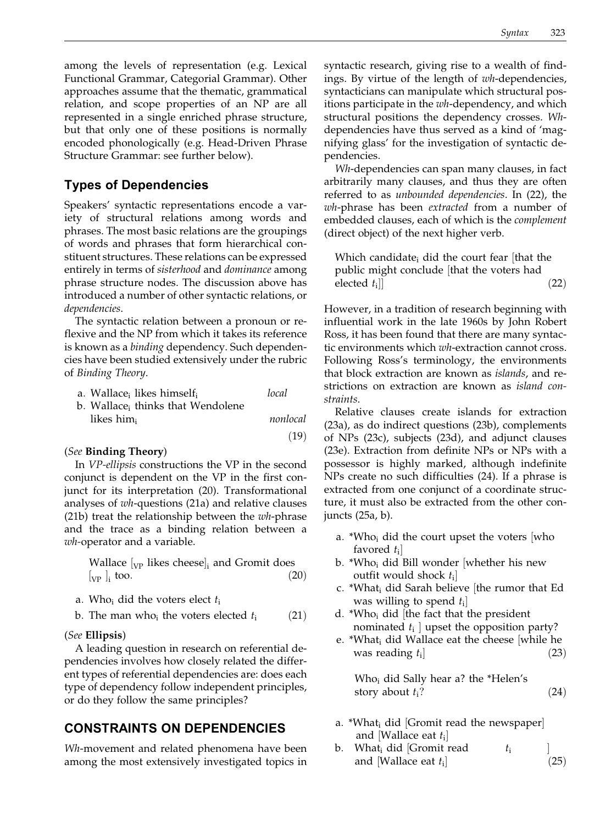among the levels of representation (e.g. Lexical Functional Grammar, Categorial Grammar). Other approaches assume that the thematic, grammatical relation, and scope properties of an NP are all represented in a single enriched phrase structure, but that only one of these positions is normally encoded phonologically (e.g. Head-Driven Phrase Structure Grammar: see further below).

# **Types of Dependencies**

Speakers' syntactic representations encode a variety of structural relations among words and phrases. The most basic relations are the groupings of words and phrases that form hierarchical constituent structures. These relations can be expressed entirely in terms of sisterhood and dominance among phrase structure nodes. The discussion above has introduced a number of other syntactic relations, or dependencies.

The syntactic relation between a pronoun or reflexive and the NP from which it takes its reference is known as a binding dependency. Such dependencies have been studied extensively under the rubric of Binding Theory.

| a. Wallace <sub>i</sub> likes himself <sub>i</sub> | local    |
|----------------------------------------------------|----------|
| b. Wallace thinks that Wendolene                   |          |
| likes him <sub>i</sub>                             | nonlocal |
|                                                    | (19)     |

#### (See Binding Theory)

In VP-ellipsis constructions the VP in the second conjunct is dependent on the VP in the first conjunct for its interpretation (20). Transformational analyses of  $wh$ -questions (21a) and relative clauses  $(21b)$  treat the relationship between the  $wh$ -phrase and the trace as a binding relation between a wh-operator and a variable.

Wallace  $\left[\begin{smallmatrix}V_P\end{smallmatrix}\right]$  likes cheese $\left]\begin{smallmatrix}I\end{smallmatrix}\right]$  and Gromit does  $[y_P]_i$  too.  $(20)$ 

- a. Who<sub>i</sub> did the voters elect  $t_i$
- b. The man who<sub>i</sub> the voters elected  $t_i$  $(21)$

#### (See Ellipsis)

A leading question in research on referential dependencies involves how closely related the different types of referential dependencies are: does each type of dependency follow independent principles, or do they follow the same principles?

## **CONSTRAINTS ON DEPENDENCIES**

Wh-movement and related phenomena have been among the most extensively investigated topics in syntactic research, giving rise to a wealth of findings. By virtue of the length of wh-dependencies, syntacticians can manipulate which structural positions participate in the wh-dependency, and which structural positions the dependency crosses. Whdependencies have thus served as a kind of 'magnifying glass' for the investigation of syntactic dependencies.

Wh-dependencies can span many clauses, in fact arbitrarily many clauses, and thus they are often referred to as unbounded dependencies. In (22), the wh-phrase has been extracted from a number of embedded clauses, each of which is the complement (direct object) of the next higher verb.

Which candidate did the court fear that the public might conclude [that the voters had elected  $t_i$ ]  $(22)$ 

However, in a tradition of research beginning with influential work in the late 1960s by John Robert Ross, it has been found that there are many syntactic environments which wh-extraction cannot cross. Following Ross's terminology, the environments that block extraction are known as *islands*, and restrictions on extraction are known as *island con*straints.

Relative clauses create islands for extraction  $(23a)$ , as do indirect questions  $(23b)$ , complements of NPs (23c), subjects (23d), and adjunct clauses (23e). Extraction from definite NPs or NPs with a possessor is highly marked, although indefinite NPs create no such difficulties (24). If a phrase is extracted from one conjunct of a coordinate structure, it must also be extracted from the other conjuncts (25a, b).

- a. \*Who<sub>i</sub> did the court upset the voters who favored  $t_i$
- b. \*Who<sub>i</sub> did Bill wonder whether his new outfit would shock  $t_i$
- c. \*What<sub>i</sub> did Sarah believe [the rumor that Ed was willing to spend  $t_i$
- d. \*Who<sub>i</sub> did [the fact that the president nominated  $t_i$  | upset the opposition party?
- e. \*What<sub>i</sub> did Wallace eat the cheese [while he was reading  $t_i$  $(23)$

Who<sub>i</sub> did Sally hear a? the \*Helen's story about  $t_i$ ?  $(24)$ 

- a. \*What, did [Gromit read the newspaper] and [Wallace eat  $t_i$ ]
- b. What<sub>i</sub> did [Gromit read  $t_i$  $(25)$ and [Wallace eat  $t_i$ ]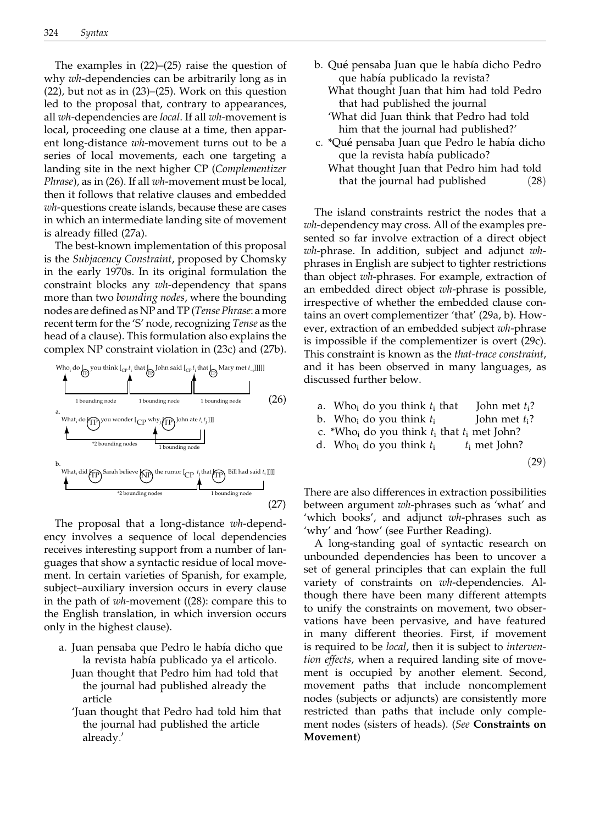The examples in  $(22)$ – $(25)$  raise the question of why wh-dependencies can be arbitrarily long as in  $(22)$ , but not as in  $(23)$ – $(25)$ . Work on this question led to the proposal that, contrary to appearances, all wh-dependencies are local. If all wh-movement is local, proceeding one clause at a time, then apparent long-distance wh-movement turns out to be a series of local movements, each one targeting a landing site in the next higher CP (Complementizer Phrase), as in (26). If all wh-movement must be local, then it follows that relative clauses and embedded wh-questions create islands, because these are cases in which an intermediate landing site of movement is already filled (27a).

The best-known implementation of this proposal is the Subjacency Constraint, proposed by Chomsky in the early 1970s. In its original formulation the constraint blocks any *wh*-dependency that spans more than two bounding nodes, where the bounding nodes are defined as NP and TP (Tense Phrase: a more recent term for the 'S' node, recognizing Tense as the head of a clause). This formulation also explains the complex NP constraint violation in (23c) and (27b).



The proposal that a long-distance wh-dependency involves a sequence of local dependencies receives interesting support from a number of languages that show a syntactic residue of local movement. In certain varieties of Spanish, for example, subject–auxiliary inversion occurs in every clause in the path of  $wh$ -movement  $((28))$ : compare this to the English translation, in which inversion occurs only in the highest clause).

- a. Juan pensaba que Pedro le había dicho que la revista había publicado ya el articolo.
	- Juan thought that Pedro him had told that the journal had published already the article
	- Juan thought that Pedro had told him that the journal had published the article already.'
- b. Qué pensaba Juan que le había dicho Pedro que había publicado la revista? What thought Juan that him had told Pedro that had published the journal
	- 'What did Juan think that Pedro had told him that the journal had published?'
- c. \*Qué pensaba Juan que Pedro le había dicho que la revista había publicado?
	- What thought Juan that Pedro him had told that the journal had published  $(28)$

The island constraints restrict the nodes that a wh-dependency may cross. All of the examples presented so far involve extraction of a direct object  $wh$ -phrase. In addition, subject and adjunct  $wh$ phrases in English are subject to tighter restrictions than object wh-phrases. For example, extraction of an embedded direct object wh-phrase is possible, irrespective of whether the embedded clause contains an overt complementizer 'that' (29a, b). However, extraction of an embedded subject wh-phrase is impossible if the complementizer is overt (29c). This constraint is known as the *that-trace constraint*, and it has been observed in many languages, as discussed further below.

- a. Who<sub>i</sub> do you think  $t_i$  that John met  $t_i$ ? b. Who<sub>i</sub> do you think  $t_i$ John met  $t_i$ ? c. \*Who<sub>i</sub> do you think  $t_i$  that  $t_i$  met John?
- d. Who<sub>i</sub> do you think  $t_i$  $t_i$  met John?

 $(29)$ 

There are also differences in extraction possibilities between argument wh-phrases such as 'what' and 'which books', and adjunct wh-phrases such as 'why' and 'how' (see Further Reading).

A long-standing goal of syntactic research on unbounded dependencies has been to uncover a set of general principles that can explain the full variety of constraints on wh-dependencies. Although there have been many different attempts to unify the constraints on movement, two observations have been pervasive, and have featured in many different theories. First, if movement is required to be *local*, then it is subject to *interven*tion effects, when a required landing site of movement is occupied by another element. Second, movement paths that include noncomplement nodes (subjects or adjuncts) are consistently more restricted than paths that include only complement nodes (sisters of heads). (See Constraints on Movement)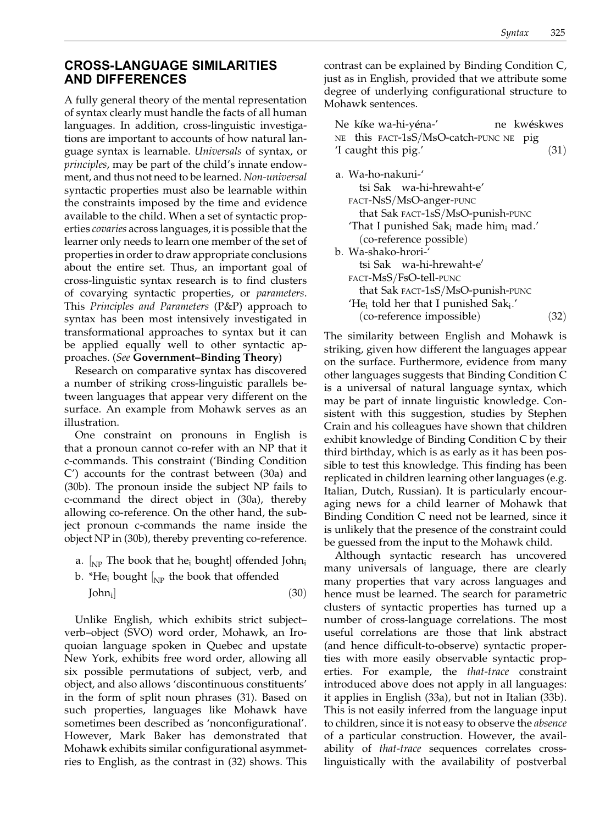# **CROSS-LANGUAGE SIMILARITIES AND DIFFERENCES**

A fully general theory of the mental representation of syntax clearly must handle the facts of all human languages. In addition, cross-linguistic investigations are important to accounts of how natural language syntax is learnable. Universals of syntax, or *principles*, may be part of the child's innate endowment, and thus not need to be learned. Non-universal syntactic properties must also be learnable within the constraints imposed by the time and evidence available to the child. When a set of syntactic properties covaries across languages, it is possible that the learner only needs to learn one member of the set of properties in order to draw appropriate conclusions about the entire set. Thus, an important goal of cross-linguistic syntax research is to find clusters of covarying syntactic properties, or *parameters*. This Principles and Parameters (P&P) approach to syntax has been most intensively investigated in transformational approaches to syntax but it can be applied equally well to other syntactic approaches. (See Government-Binding Theory)

Research on comparative syntax has discovered a number of striking cross-linguistic parallels between languages that appear very different on the surface. An example from Mohawk serves as an illustration.

One constraint on pronouns in English is that a pronoun cannot co-refer with an NP that it c-commands. This constraint ('Binding Condition C') accounts for the contrast between (30a) and (30b). The pronoun inside the subject NP fails to c-command the direct object in (30a), thereby allowing co-reference. On the other hand, the subject pronoun c-commands the name inside the object NP in (30b), thereby preventing co-reference.

- a.  $\left[\begin{smallmatrix} N_P \\ N \end{smallmatrix}\right]$  The book that he<sub>i</sub> bought] offended John<sub>i</sub>
- b. \*He<sub>i</sub> bought  $\left[\begin{smallmatrix} N_P & 1 \end{smallmatrix}\right]$  the book that offended  $John_i$  $(30)$

Unlike English, which exhibits strict subjectverb-object (SVO) word order, Mohawk, an Iroquoian language spoken in Quebec and upstate New York, exhibits free word order, allowing all six possible permutations of subject, verb, and object, and also allows 'discontinuous constituents' in the form of split noun phrases (31). Based on such properties, languages like Mohawk have sometimes been described as 'nonconfigurational'. However, Mark Baker has demonstrated that Mohawk exhibits similar configurational asymmetries to English, as the contrast in (32) shows. This

contrast can be explained by Binding Condition C, just as in English, provided that we attribute some degree of underlying configurational structure to Mohawk sentences.

|  | Ne kíke wa-hi-yéna-′                   | ne kwéskwes |      |
|--|----------------------------------------|-------------|------|
|  | NE this FACT-1sS/MsO-catch-PUNC NE pig |             |      |
|  | I caught this pig.'                    |             | (31) |

a. Wa-ho-nakuni-' tsi Sak wa-hi-hrewaht-e' FACT-NsS/MsO-anger-PUNC that Sak FACT- $1sS/MsO$ -punish-PUNC 'That I punished Sak<sub>i</sub> made him<sub>i</sub> mad.' (co-reference possible) b. Wa-shako-hrori-' tsi Sak wa-hi-hrewaht-e' FACT-MsS/FsO-tell-PUNC that Sak  $FACT-1sS/MsO$ -punish-PUNC 'He<sub>i</sub> told her that I punished Sak<sub>i</sub>.' (co-reference impossible)  $(32)$ 

The similarity between English and Mohawk is striking, given how different the languages appear on the surface. Furthermore, evidence from many other languages suggests that Binding Condition C is a universal of natural language syntax, which may be part of innate linguistic knowledge. Consistent with this suggestion, studies by Stephen Crain and his colleagues have shown that children exhibit knowledge of Binding Condition C by their third birthday, which is as early as it has been possible to test this knowledge. This finding has been replicated in children learning other languages (e.g. Italian, Dutch, Russian). It is particularly encouraging news for a child learner of Mohawk that Binding Condition C need not be learned, since it is unlikely that the presence of the constraint could be guessed from the input to the Mohawk child.

Although syntactic research has uncovered many universals of language, there are clearly many properties that vary across languages and hence must be learned. The search for parametric clusters of syntactic properties has turned up a number of cross-language correlations. The most useful correlations are those that link abstract (and hence difficult-to-observe) syntactic properties with more easily observable syntactic properties. For example, the that-trace constraint introduced above does not apply in all languages: it applies in English (33a), but not in Italian (33b). This is not easily inferred from the language input to children, since it is not easy to observe the *absence* of a particular construction. However, the availability of that-trace sequences correlates crosslinguistically with the availability of postverbal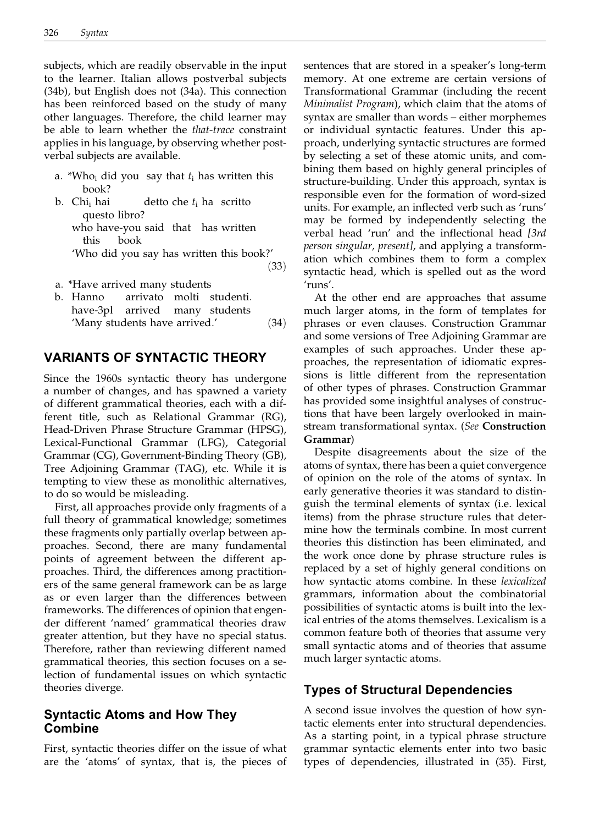subjects, which are readily observable in the input to the learner. Italian allows postverbal subjects (34b), but English does not (34a). This connection has been reinforced based on the study of many other languages. Therefore, the child learner may be able to learn whether the that-trace constraint applies in his language, by observing whether postverbal subjects are available.

- a. \*Who<sub>i</sub> did you say that  $t_i$  has written this book?
- b. Chi<sub>i</sub> hai detto che  $t_i$  ha scritto questo libro? who have-you said that has written this. book 'Who did you say has written this book?'  $(33)$
- a. \*Have arrived many students
- b. Hanno arrivato molti studenti. have-3pl arrived many students 'Many students have arrived.'  $(34)$

# **VARIANTS OF SYNTACTIC THEORY**

Since the 1960s syntactic theory has undergone a number of changes, and has spawned a variety of different grammatical theories, each with a different title, such as Relational Grammar (RG), Head-Driven Phrase Structure Grammar (HPSG), Lexical-Functional Grammar (LFG), Categorial Grammar (CG), Government-Binding Theory (GB), Tree Adjoining Grammar (TAG), etc. While it is tempting to view these as monolithic alternatives, to do so would be misleading.

First, all approaches provide only fragments of a full theory of grammatical knowledge; sometimes these fragments only partially overlap between approaches. Second, there are many fundamental points of agreement between the different approaches. Third, the differences among practitioners of the same general framework can be as large as or even larger than the differences between frameworks. The differences of opinion that engender different 'named' grammatical theories draw greater attention, but they have no special status. Therefore, rather than reviewing different named grammatical theories, this section focuses on a selection of fundamental issues on which syntactic theories diverge.

# **Syntactic Atoms and How They** Combine

First, syntactic theories differ on the issue of what are the 'atoms' of syntax, that is, the pieces of

sentences that are stored in a speaker's long-term memory. At one extreme are certain versions of Transformational Grammar (including the recent Minimalist Program), which claim that the atoms of syntax are smaller than words – either morphemes or individual syntactic features. Under this approach, underlying syntactic structures are formed by selecting a set of these atomic units, and combining them based on highly general principles of structure-building. Under this approach, syntax is responsible even for the formation of word-sized units. For example, an inflected verb such as 'runs' may be formed by independently selecting the verbal head 'run' and the inflectional head [3rd *person singular, present],* and applying a transformation which combines them to form a complex syntactic head, which is spelled out as the word 'runs'.

At the other end are approaches that assume much larger atoms, in the form of templates for phrases or even clauses. Construction Grammar and some versions of Tree Adjoining Grammar are examples of such approaches. Under these approaches, the representation of idiomatic expressions is little different from the representation of other types of phrases. Construction Grammar has provided some insightful analyses of constructions that have been largely overlooked in mainstream transformational syntax. (See Construction Grammar)

Despite disagreements about the size of the atoms of syntax, there has been a quiet convergence of opinion on the role of the atoms of syntax. In early generative theories it was standard to distinguish the terminal elements of syntax (i.e. lexical items) from the phrase structure rules that determine how the terminals combine. In most current theories this distinction has been eliminated, and the work once done by phrase structure rules is replaced by a set of highly general conditions on how syntactic atoms combine. In these *lexicalized* grammars, information about the combinatorial possibilities of syntactic atoms is built into the lexical entries of the atoms themselves. Lexicalism is a common feature both of theories that assume very small syntactic atoms and of theories that assume much larger syntactic atoms.

## **Types of Structural Dependencies**

A second issue involves the question of how syntactic elements enter into structural dependencies. As a starting point, in a typical phrase structure grammar syntactic elements enter into two basic types of dependencies, illustrated in (35). First,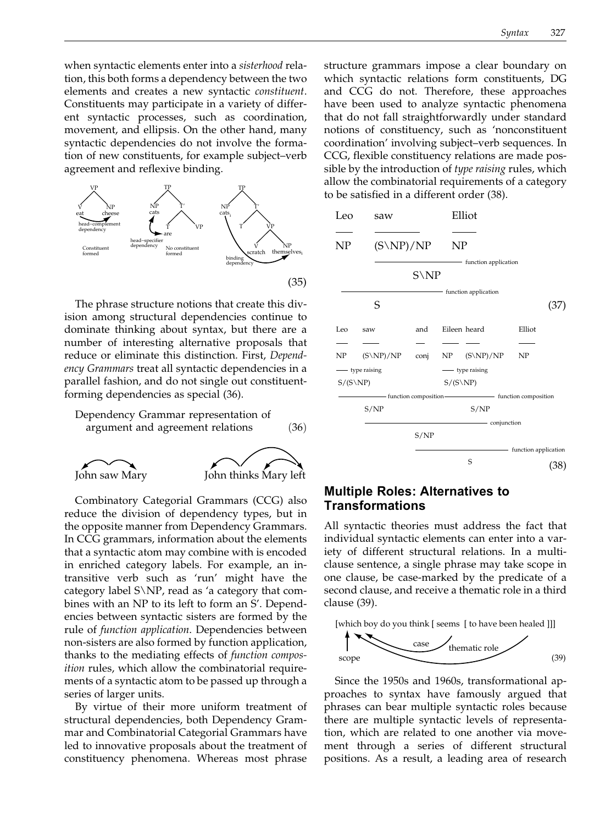when syntactic elements enter into a sisterhood relation, this both forms a dependency between the two elements and creates a new syntactic constituent. Constituents may participate in a variety of different syntactic processes, such as coordination, movement, and ellipsis. On the other hand, many syntactic dependencies do not involve the formation of new constituents, for example subject–verb agreement and reflexive binding.



The phrase structure notions that create this division among structural dependencies continue to dominate thinking about syntax, but there are a number of interesting alternative proposals that reduce or eliminate this distinction. First, Dependency Grammars treat all syntactic dependencies in a parallel fashion, and do not single out constituentforming dependencies as special (36).

Dependency Grammar representation of argument and agreement relations  $(36)$ 



Combinatory Categorial Grammars (CCG) also reduce the division of dependency types, but in the opposite manner from Dependency Grammars. In CCG grammars, information about the elements that a syntactic atom may combine with is encoded in enriched category labels. For example, an intransitive verb such as 'run' might have the category label S\NP, read as 'a category that combines with an NP to its left to form an S'. Dependencies between syntactic sisters are formed by the rule of function application. Dependencies between non-sisters are also formed by function application, thanks to the mediating effects of function compos*ition* rules, which allow the combinatorial requirements of a syntactic atom to be passed up through a series of larger units.

By virtue of their more uniform treatment of structural dependencies, both Dependency Grammar and Combinatorial Categorial Grammars have led to innovative proposals about the treatment of constituency phenomena. Whereas most phrase structure grammars impose a clear boundary on which syntactic relations form constituents, DG and CCG do not. Therefore, these approaches have been used to analyze syntactic phenomena that do not fall straightforwardly under standard notions of constituency, such as 'nonconstituent coordination' involving subject-verb sequences. In CCG, flexible constituency relations are made possible by the introduction of type raising rules, which allow the combinatorial requirements of a category to be satisfied in a different order (38).



## **Multiple Roles: Alternatives to Transformations**

All syntactic theories must address the fact that individual syntactic elements can enter into a variety of different structural relations. In a multiclause sentence, a single phrase may take scope in one clause, be case-marked by the predicate of a second clause, and receive a thematic role in a third clause (39).



Since the 1950s and 1960s, transformational approaches to syntax have famously argued that phrases can bear multiple syntactic roles because there are multiple syntactic levels of representation, which are related to one another via movement through a series of different structural positions. As a result, a leading area of research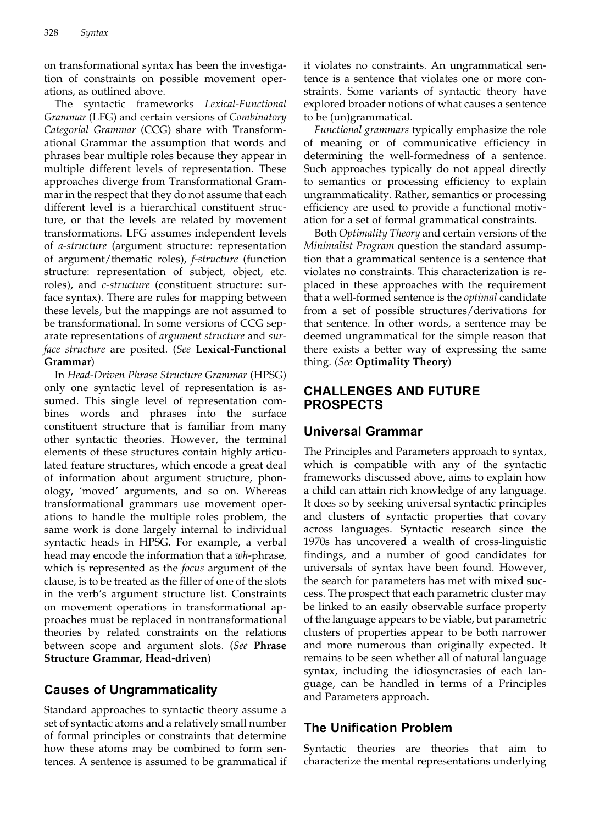on transformational syntax has been the investigation of constraints on possible movement operations, as outlined above.

The syntactic frameworks Lexical-Functional *Grammar* (LFG) and certain versions of *Combinatory* Categorial Grammar (CCG) share with Transformational Grammar the assumption that words and phrases bear multiple roles because they appear in multiple different levels of representation. These approaches diverge from Transformational Grammar in the respect that they do not assume that each different level is a hierarchical constituent structure, or that the levels are related by movement transformations. LFG assumes independent levels of *a-structure* (argument structure: representation of argument/thematic roles), f-structure (function structure: representation of subject, object, etc. roles), and *c-structure* (constituent structure: surface syntax). There are rules for mapping between these levels, but the mappings are not assumed to be transformational. In some versions of CCG separate representations of argument structure and surface structure are posited. (See Lexical-Functional Grammar)

In Head-Driven Phrase Structure Grammar (HPSG) only one syntactic level of representation is assumed. This single level of representation combines words and phrases into the surface constituent structure that is familiar from many other syntactic theories. However, the terminal elements of these structures contain highly articulated feature structures, which encode a great deal of information about argument structure, phonology, 'moved' arguments, and so on. Whereas transformational grammars use movement operations to handle the multiple roles problem, the same work is done largely internal to individual syntactic heads in HPSG. For example, a verbal head may encode the information that a wh-phrase, which is represented as the *focus* argument of the clause, is to be treated as the filler of one of the slots in the verb's argument structure list. Constraints on movement operations in transformational approaches must be replaced in nontransformational theories by related constraints on the relations between scope and argument slots. (See Phrase Structure Grammar, Head-driven)

## **Causes of Ungrammaticality**

Standard approaches to syntactic theory assume a set of syntactic atoms and a relatively small number of formal principles or constraints that determine how these atoms may be combined to form sentences. A sentence is assumed to be grammatical if it violates no constraints. An ungrammatical sentence is a sentence that violates one or more constraints. Some variants of syntactic theory have explored broader notions of what causes a sentence to be (un)grammatical.

Functional grammars typically emphasize the role of meaning or of communicative efficiency in determining the well-formedness of a sentence. Such approaches typically do not appeal directly to semantics or processing efficiency to explain ungrammaticality. Rather, semantics or processing efficiency are used to provide a functional motivation for a set of formal grammatical constraints.

Both Optimality Theory and certain versions of the *Minimalist Program* question the standard assumption that a grammatical sentence is a sentence that violates no constraints. This characterization is replaced in these approaches with the requirement that a well-formed sentence is the optimal candidate from a set of possible structures/derivations for that sentence. In other words, a sentence may be deemed ungrammatical for the simple reason that there exists a better way of expressing the same thing. (See Optimality Theory)

# **CHALLENGES AND FUTURE PROSPECTS**

#### **Universal Grammar**

The Principles and Parameters approach to syntax, which is compatible with any of the syntactic frameworks discussed above, aims to explain how a child can attain rich knowledge of any language. It does so by seeking universal syntactic principles and clusters of syntactic properties that covary across languages. Syntactic research since the 1970s has uncovered a wealth of cross-linguistic findings, and a number of good candidates for universals of syntax have been found. However, the search for parameters has met with mixed success. The prospect that each parametric cluster may be linked to an easily observable surface property of the language appears to be viable, but parametric clusters of properties appear to be both narrower and more numerous than originally expected. It remains to be seen whether all of natural language syntax, including the idiosyncrasies of each language, can be handled in terms of a Principles and Parameters approach.

## **The Unification Problem**

Syntactic theories are theories that aim to characterize the mental representations underlying